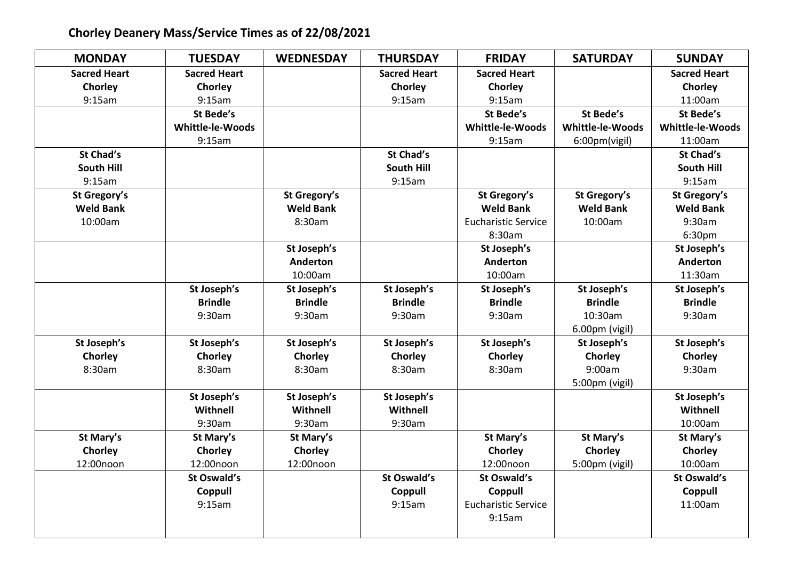## **Chorley Deanery Mass/Service Times as of 22/08/2021**

| <b>MONDAY</b>       | <b>TUESDAY</b>      | <b>WEDNESDAY</b> | <b>THURSDAY</b>     | <b>FRIDAY</b>              | <b>SATURDAY</b>  | <b>SUNDAY</b>           |
|---------------------|---------------------|------------------|---------------------|----------------------------|------------------|-------------------------|
| <b>Sacred Heart</b> | <b>Sacred Heart</b> |                  | <b>Sacred Heart</b> | <b>Sacred Heart</b>        |                  | <b>Sacred Heart</b>     |
| Chorley             | Chorley             |                  | Chorley             | Chorley                    |                  | Chorley                 |
| 9:15am              | 9:15am              |                  | 9:15am              | 9:15am                     |                  | 11:00am                 |
|                     | St Bede's           |                  |                     | St Bede's                  | St Bede's        | St Bede's               |
|                     | Whittle-le-Woods    |                  |                     | <b>Whittle-le-Woods</b>    | Whittle-le-Woods | <b>Whittle-le-Woods</b> |
|                     | 9:15am              |                  |                     | 9:15am                     | 6:00pm(vigil)    | 11:00am                 |
| <b>St Chad's</b>    |                     |                  | <b>St Chad's</b>    |                            |                  | <b>St Chad's</b>        |
| <b>South Hill</b>   |                     |                  | <b>South Hill</b>   |                            |                  | <b>South Hill</b>       |
| 9:15am              |                     |                  | 9:15am              |                            |                  | 9:15am                  |
| St Gregory's        |                     | St Gregory's     |                     | St Gregory's               | St Gregory's     | St Gregory's            |
| <b>Weld Bank</b>    |                     | <b>Weld Bank</b> |                     | <b>Weld Bank</b>           | <b>Weld Bank</b> | <b>Weld Bank</b>        |
| 10:00am             |                     | 8:30am           |                     | <b>Eucharistic Service</b> | 10:00am          | 9:30am                  |
|                     |                     |                  |                     | 8:30am                     |                  | 6:30pm                  |
|                     |                     | St Joseph's      |                     | St Joseph's                |                  | St Joseph's             |
|                     |                     | <b>Anderton</b>  |                     | <b>Anderton</b>            |                  | <b>Anderton</b>         |
|                     |                     | 10:00am          |                     | 10:00am                    |                  | 11:30am                 |
|                     | St Joseph's         | St Joseph's      | St Joseph's         | St Joseph's                | St Joseph's      | St Joseph's             |
|                     | <b>Brindle</b>      | <b>Brindle</b>   | <b>Brindle</b>      | <b>Brindle</b>             | <b>Brindle</b>   | <b>Brindle</b>          |
|                     | 9:30am              | 9:30am           | 9:30am              | 9:30am                     | 10:30am          | 9:30am                  |
|                     |                     |                  |                     |                            | 6.00pm (vigil)   |                         |
| St Joseph's         | St Joseph's         | St Joseph's      | St Joseph's         | St Joseph's                | St Joseph's      | St Joseph's             |
| Chorley             | Chorley             | Chorley          | Chorley             | Chorley                    | Chorley          | Chorley                 |
| 8:30am              | 8:30am              | 8:30am           | 8:30am              | 8:30am                     | 9:00am           | 9:30am                  |
|                     |                     |                  |                     |                            | 5:00pm (vigil)   |                         |
|                     | St Joseph's         | St Joseph's      | St Joseph's         |                            |                  | St Joseph's             |
|                     | Withnell            | Withnell         | Withnell            |                            |                  | Withnell                |
|                     | 9:30am              | 9:30am           | 9:30am              |                            |                  | 10:00am                 |
| St Mary's           | St Mary's           | St Mary's        |                     | St Mary's                  | St Mary's        | St Mary's               |
| Chorley             | Chorley             | Chorley          |                     | Chorley                    | Chorley          | Chorley                 |
| 12:00noon           | 12:00noon           | 12:00noon        |                     | 12:00noon                  | 5:00pm (vigil)   | 10:00am                 |
|                     | St Oswald's         |                  | St Oswald's         | St Oswald's                |                  | <b>St Oswald's</b>      |
|                     | Coppull             |                  | Coppull             | Coppull                    |                  | Coppull                 |
|                     | 9:15am              |                  | 9:15am              | <b>Eucharistic Service</b> |                  | 11:00am                 |
|                     |                     |                  |                     | 9:15am                     |                  |                         |
|                     |                     |                  |                     |                            |                  |                         |